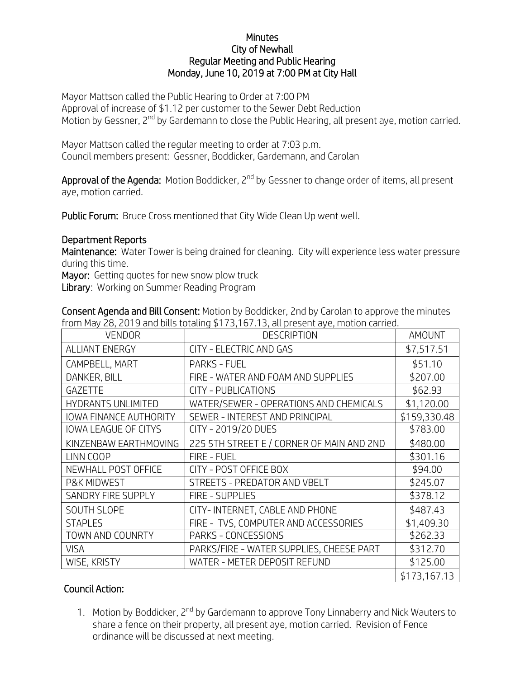## **Minutes** City of Newhall Regular Meeting and Public Hearing Monday, June 10, 2019 at 7:00 PM at City Hall

Mayor Mattson called the Public Hearing to Order at 7:00 PM Approval of increase of \$1.12 per customer to the Sewer Debt Reduction Motion by Gessner, 2<sup>nd</sup> by Gardemann to close the Public Hearing, all present aye, motion carried.

Mayor Mattson called the regular meeting to order at 7:03 p.m. Council members present: Gessner, Boddicker, Gardemann, and Carolan

Approval of the Agenda: Motion Boddicker, 2<sup>nd</sup> by Gessner to change order of items, all present aye, motion carried.

Public Forum: Bruce Cross mentioned that City Wide Clean Up went well.

## Department Reports

Maintenance: Water Tower is being drained for cleaning. City will experience less water pressure during this time.

Mayor: Getting quotes for new snow plow truck

Library: Working on Summer Reading Program

| <b>VENDOR</b>                 | <b>DESCRIPTION</b>                        | <b>AMOUNT</b> |
|-------------------------------|-------------------------------------------|---------------|
| <b>ALLIANT ENERGY</b>         | CITY - ELECTRIC AND GAS                   | \$7,517.51    |
| CAMPBELL, MART                | <b>PARKS - FUEL</b>                       | \$51.10       |
| DANKER, BILL                  | FIRE - WATER AND FOAM AND SUPPLIES        | \$207.00      |
| <b>GAZETTE</b>                | <b>CITY - PUBLICATIONS</b>                | \$62.93       |
| <b>HYDRANTS UNLIMITED</b>     | WATER/SEWER - OPERATIONS AND CHEMICALS    | \$1,120.00    |
| <b>IOWA FINANCE AUTHORITY</b> | SEWER - INTEREST AND PRINCIPAL            | \$159,330.48  |
| <b>IOWA LEAGUE OF CITYS</b>   | CITY - 2019/20 DUES                       | \$783.00      |
| KINZENBAW EARTHMOVING         | 225 5TH STREET E / CORNER OF MAIN AND 2ND | \$480.00      |
| LINN COOP                     | <b>FIRE - FUEL</b>                        | \$301.16      |
| NEWHALL POST OFFICE           | CITY - POST OFFICE BOX                    | \$94.00       |
| P&K MIDWEST                   | STREETS - PREDATOR AND VBELT              | \$245.07      |
| SANDRY FIRE SUPPLY            | <b>FIRE - SUPPLIES</b>                    | \$378.12      |
| <b>SOUTH SLOPE</b>            | CITY-INTERNET, CABLE AND PHONE            | \$487.43      |
| <b>STAPLES</b>                | FIRE - TVS, COMPUTER AND ACCESSORIES      | \$1,409.30    |
| TOWN AND COUNRTY              | PARKS - CONCESSIONS                       | \$262.33      |
| <b>VISA</b>                   | PARKS/FIRE - WATER SUPPLIES, CHEESE PART  | \$312.70      |
| WISE, KRISTY                  | WATER - METER DEPOSIT REFUND              | \$125.00      |
|                               |                                           | \$173,167.13  |

Consent Agenda and Bill Consent: Motion by Boddicker, 2nd by Carolan to approve the minutes from May 28, 2019 and bills totaling \$173,167.13, all present aye, motion carried.

## Council Action:

1. Motion by Boddicker, 2<sup>nd</sup> by Gardemann to approve Tony Linnaberry and Nick Wauters to share a fence on their property, all present aye, motion carried. Revision of Fence ordinance will be discussed at next meeting.